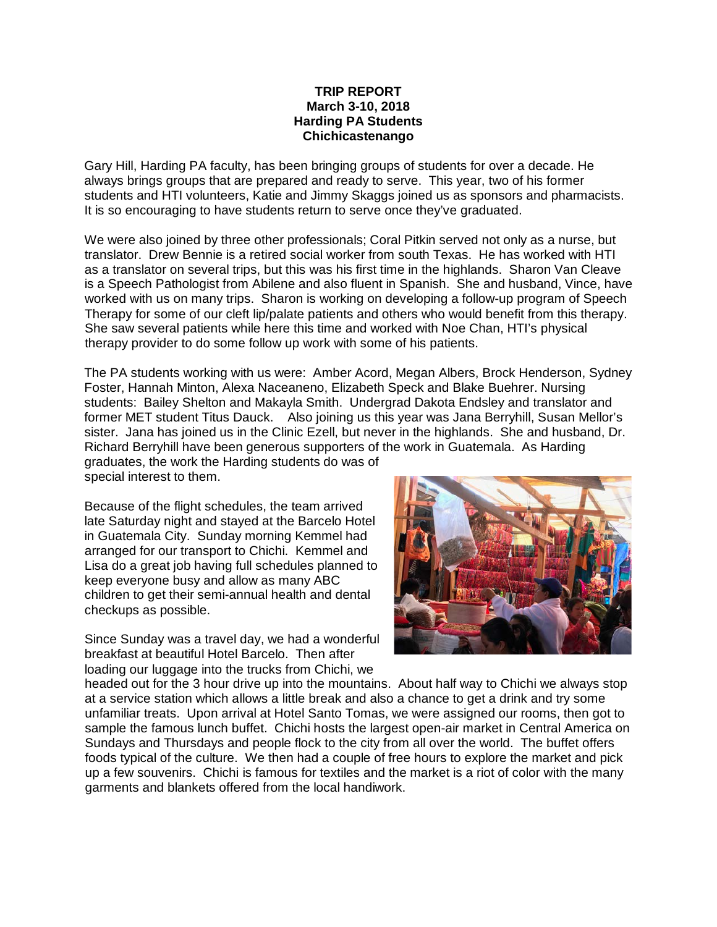## **TRIP REPORT March 3-10, 2018 Harding PA Students Chichicastenango**

Gary Hill, Harding PA faculty, has been bringing groups of students for over a decade. He always brings groups that are prepared and ready to serve. This year, two of his former students and HTI volunteers, Katie and Jimmy Skaggs joined us as sponsors and pharmacists. It is so encouraging to have students return to serve once they've graduated.

We were also joined by three other professionals; Coral Pitkin served not only as a nurse, but translator. Drew Bennie is a retired social worker from south Texas. He has worked with HTI as a translator on several trips, but this was his first time in the highlands. Sharon Van Cleave is a Speech Pathologist from Abilene and also fluent in Spanish. She and husband, Vince, have worked with us on many trips. Sharon is working on developing a follow-up program of Speech Therapy for some of our cleft lip/palate patients and others who would benefit from this therapy. She saw several patients while here this time and worked with Noe Chan, HTI's physical therapy provider to do some follow up work with some of his patients.

The PA students working with us were: Amber Acord, Megan Albers, Brock Henderson, Sydney Foster, Hannah Minton, Alexa Naceaneno, Elizabeth Speck and Blake Buehrer. Nursing students: Bailey Shelton and Makayla Smith. Undergrad Dakota Endsley and translator and former MET student Titus Dauck. Also joining us this year was Jana Berryhill, Susan Mellor's sister. Jana has joined us in the Clinic Ezell, but never in the highlands. She and husband, Dr. Richard Berryhill have been generous supporters of the work in Guatemala. As Harding graduates, the work the Harding students do was of

special interest to them.

Because of the flight schedules, the team arrived late Saturday night and stayed at the Barcelo Hotel in Guatemala City. Sunday morning Kemmel had arranged for our transport to Chichi. Kemmel and Lisa do a great job having full schedules planned to keep everyone busy and allow as many ABC children to get their semi-annual health and dental checkups as possible.

Since Sunday was a travel day, we had a wonderful breakfast at beautiful Hotel Barcelo. Then after loading our luggage into the trucks from Chichi, we



headed out for the 3 hour drive up into the mountains. About half way to Chichi we always stop at a service station which allows a little break and also a chance to get a drink and try some unfamiliar treats. Upon arrival at Hotel Santo Tomas, we were assigned our rooms, then got to sample the famous lunch buffet. Chichi hosts the largest open-air market in Central America on Sundays and Thursdays and people flock to the city from all over the world. The buffet offers foods typical of the culture. We then had a couple of free hours to explore the market and pick up a few souvenirs. Chichi is famous for textiles and the market is a riot of color with the many garments and blankets offered from the local handiwork.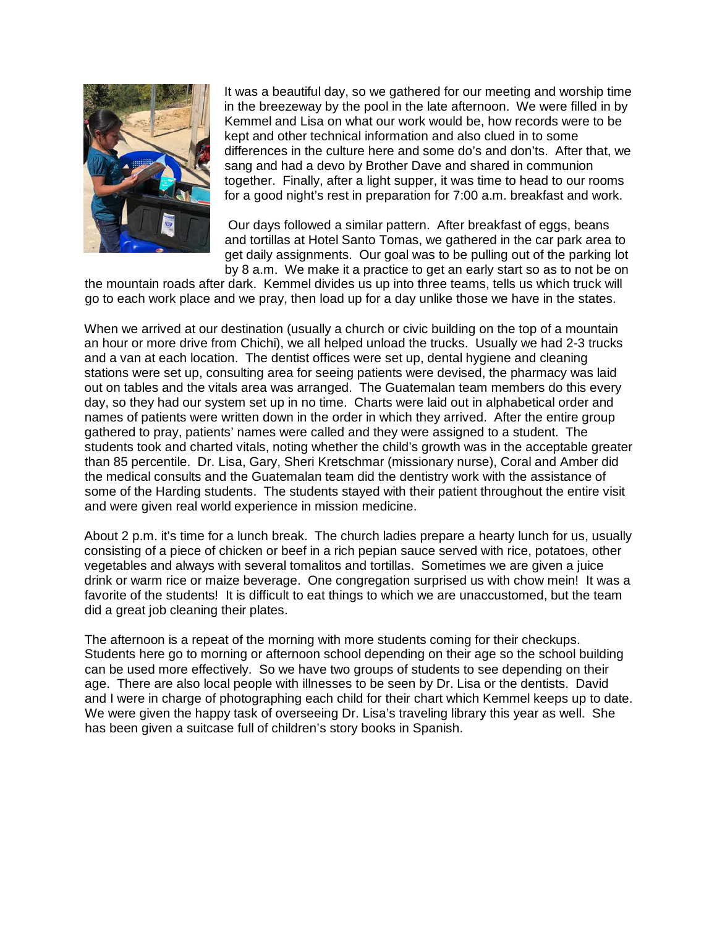

It was a beautiful day, so we gathered for our meeting and worship time in the breezeway by the pool in the late afternoon. We were filled in by Kemmel and Lisa on what our work would be, how records were to be kept and other technical information and also clued in to some differences in the culture here and some do's and don'ts. After that, we sang and had a devo by Brother Dave and shared in communion together. Finally, after a light supper, it was time to head to our rooms for a good night's rest in preparation for 7:00 a.m. breakfast and work.

Our days followed a similar pattern. After breakfast of eggs, beans and tortillas at Hotel Santo Tomas, we gathered in the car park area to get daily assignments. Our goal was to be pulling out of the parking lot by 8 a.m. We make it a practice to get an early start so as to not be on

the mountain roads after dark. Kemmel divides us up into three teams, tells us which truck will go to each work place and we pray, then load up for a day unlike those we have in the states.

When we arrived at our destination (usually a church or civic building on the top of a mountain an hour or more drive from Chichi), we all helped unload the trucks. Usually we had 2-3 trucks and a van at each location. The dentist offices were set up, dental hygiene and cleaning stations were set up, consulting area for seeing patients were devised, the pharmacy was laid out on tables and the vitals area was arranged. The Guatemalan team members do this every day, so they had our system set up in no time. Charts were laid out in alphabetical order and names of patients were written down in the order in which they arrived. After the entire group gathered to pray, patients' names were called and they were assigned to a student. The students took and charted vitals, noting whether the child's growth was in the acceptable greater than 85 percentile. Dr. Lisa, Gary, Sheri Kretschmar (missionary nurse), Coral and Amber did the medical consults and the Guatemalan team did the dentistry work with the assistance of some of the Harding students. The students stayed with their patient throughout the entire visit and were given real world experience in mission medicine.

About 2 p.m. it's time for a lunch break. The church ladies prepare a hearty lunch for us, usually consisting of a piece of chicken or beef in a rich pepian sauce served with rice, potatoes, other vegetables and always with several tomalitos and tortillas. Sometimes we are given a juice drink or warm rice or maize beverage. One congregation surprised us with chow mein! It was a favorite of the students! It is difficult to eat things to which we are unaccustomed, but the team did a great job cleaning their plates.

The afternoon is a repeat of the morning with more students coming for their checkups. Students here go to morning or afternoon school depending on their age so the school building can be used more effectively. So we have two groups of students to see depending on their age. There are also local people with illnesses to be seen by Dr. Lisa or the dentists. David and I were in charge of photographing each child for their chart which Kemmel keeps up to date. We were given the happy task of overseeing Dr. Lisa's traveling library this year as well. She has been given a suitcase full of children's story books in Spanish.